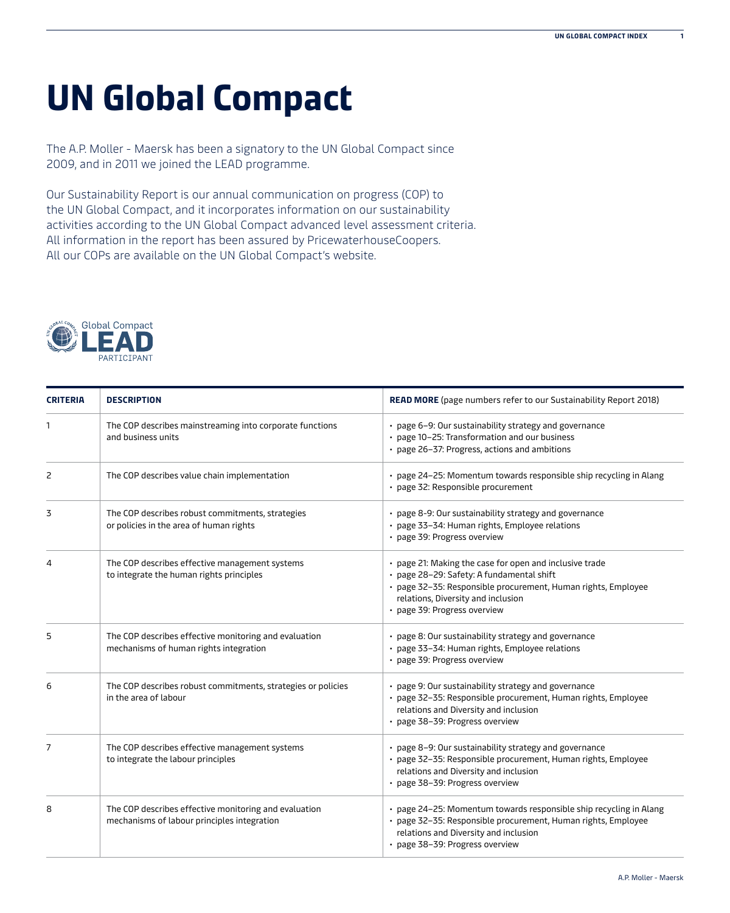## **UN Global Compact**

The A.P. Moller - Maersk has been a signatory to the UN Global Compact since 2009, and in 2011 we joined the LEAD programme.

Our Sustainability Report is our annual communication on progress (COP) to the UN Global Compact, and it incorporates information on our sustainability activities according to the UN Global Compact advanced level assessment criteria. All information in the report has been assured by PricewaterhouseCoopers. All our COPs are available on the UN Global Compact's website.



| <b>CRITERIA</b> | <b>DESCRIPTION</b>                                                                                   | READ MORE (page numbers refer to our Sustainability Report 2018)                                                                                                                                                                            |
|-----------------|------------------------------------------------------------------------------------------------------|---------------------------------------------------------------------------------------------------------------------------------------------------------------------------------------------------------------------------------------------|
| 1               | The COP describes mainstreaming into corporate functions<br>and business units                       | • page 6-9: Our sustainability strategy and governance<br>• page 10-25: Transformation and our business<br>• page 26-37: Progress, actions and ambitions                                                                                    |
| 2               | The COP describes value chain implementation                                                         | • page 24-25: Momentum towards responsible ship recycling in Alang<br>· page 32: Responsible procurement                                                                                                                                    |
| 3               | The COP describes robust commitments, strategies<br>or policies in the area of human rights          | • page 8-9: Our sustainability strategy and governance<br>· page 33-34: Human rights, Employee relations<br>• page 39: Progress overview                                                                                                    |
| 4               | The COP describes effective management systems<br>to integrate the human rights principles           | • page 21: Making the case for open and inclusive trade<br>· page 28-29: Safety: A fundamental shift<br>· page 32-35: Responsible procurement, Human rights, Employee<br>relations, Diversity and inclusion<br>· page 39: Progress overview |
| 5               | The COP describes effective monitoring and evaluation<br>mechanisms of human rights integration      | • page 8: Our sustainability strategy and governance<br>· page 33-34: Human rights, Employee relations<br>• page 39: Progress overview                                                                                                      |
| 6               | The COP describes robust commitments, strategies or policies<br>in the area of labour                | • page 9: Our sustainability strategy and governance<br>· page 32-35: Responsible procurement, Human rights, Employee<br>relations and Diversity and inclusion<br>• page 38-39: Progress overview                                           |
| 7               | The COP describes effective management systems<br>to integrate the labour principles                 | • page 8-9: Our sustainability strategy and governance<br>· page 32-35: Responsible procurement, Human rights, Employee<br>relations and Diversity and inclusion<br>• page 38-39: Progress overview                                         |
| 8               | The COP describes effective monitoring and evaluation<br>mechanisms of labour principles integration | • page 24-25: Momentum towards responsible ship recycling in Alang<br>· page 32-35: Responsible procurement, Human rights, Employee<br>relations and Diversity and inclusion<br>· page 38-39: Progress overview                             |